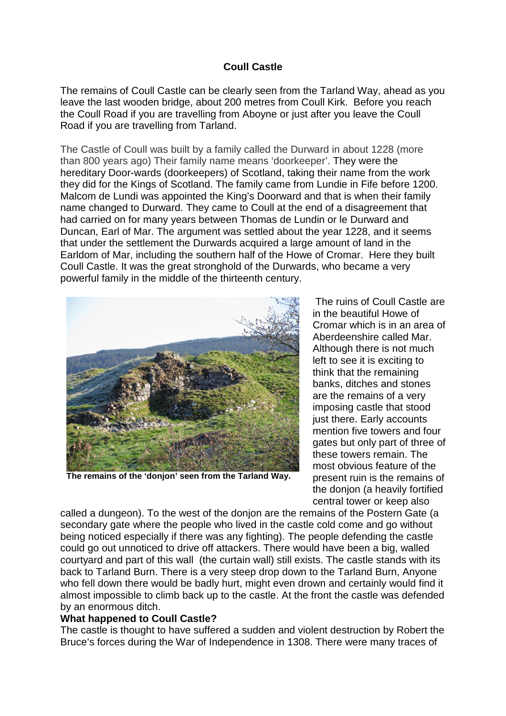## **Coull Castle**

The remains of Coull Castle can be clearly seen from the Tarland Way, ahead as you leave the last wooden bridge, about 200 metres from Coull Kirk. Before you reach the Coull Road if you are travelling from Aboyne or just after you leave the Coull Road if you are travelling from Tarland.

The Castle of Coull was built by a family called the Durward in about 1228 (more than 800 years ago) Their family name means 'doorkeeper'. They were the hereditary Door-wards (doorkeepers) of Scotland, taking their name from the work they did for the Kings of Scotland. The family came from Lundie in Fife before 1200. Malcom de Lundi was appointed the King's Doorward and that is when their family name changed to Durward. They came to Coull at the end of a disagreement that had carried on for many years between Thomas de Lundin or le Durward and Duncan, Earl of Mar. The argument was settled about the year 1228, and it seems that under the settlement the Durwards acquired a large amount of land in the Earldom of Mar, including the southern half of the Howe of Cromar. Here they built Coull Castle. It was the great stronghold of the Durwards, who became a very powerful family in the middle of the thirteenth century.



**The remains of the 'donjon' seen from the Tarland Way.** 

 The ruins of Coull Castle are in the beautiful Howe of Cromar which is in an area of Aberdeenshire called Mar. Although there is not much left to see it is exciting to think that the remaining banks, ditches and stones are the remains of a very imposing castle that stood just there. Early accounts mention five towers and four gates but only part of three of these towers remain. The most obvious feature of the present ruin is the remains of the donjon (a heavily fortified central tower or keep also

called a dungeon). To the west of the donjon are the remains of the Postern Gate (a secondary gate where the people who lived in the castle cold come and go without being noticed especially if there was any fighting). The people defending the castle could go out unnoticed to drive off attackers. There would have been a big, walled courtyard and part of this wall (the curtain wall) still exists. The castle stands with its back to Tarland Burn. There is a very steep drop down to the Tarland Burn, Anyone who fell down there would be badly hurt, might even drown and certainly would find it almost impossible to climb back up to the castle. At the front the castle was defended by an enormous ditch.

## **What happened to Coull Castle?**

The castle is thought to have suffered a sudden and violent destruction by Robert the Bruce's forces during the War of Independence in 1308. There were many traces of